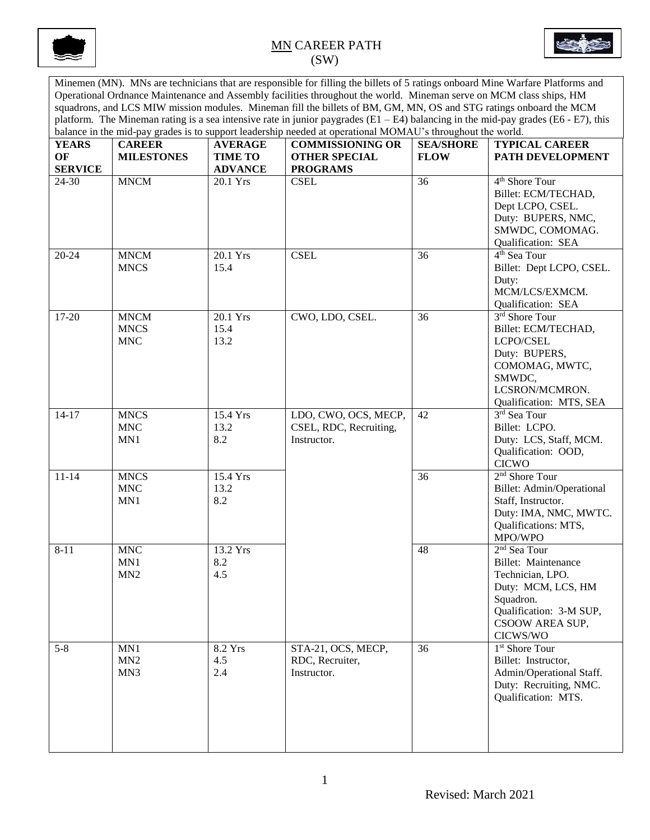



Minemen (MN). MNs are technicians that are responsible for filling the billets of 5 ratings onboard Mine Warfare Platforms and Operational Ordnance Maintenance and Assembly facilities throughout the world. Mineman serve on MCM class ships, HM squadrons, and LCS MIW mission modules. Mineman fill the billets of BM, GM, MN, OS and STG ratings onboard the MCM platform. The Mineman rating is a sea intensive rate in junior paygrades (E1 – E4) balancing in the mid-pay grades (E6 - E7), this balance in the mid-pay grades is to support leadership needed at operational MOMAU's throughout the world.

| <b>YEARS</b>         | <b>CAREER</b>                            | <b>AVERAGE</b>                   | balance in the linu-pay grades is to support leadership necueu at operational brown to s unoughout the world.<br><b>COMMISSIONING OR</b> | <b>SEA/SHORE</b> | <b>TYPICAL CAREER</b>                                                                                                                                            |
|----------------------|------------------------------------------|----------------------------------|------------------------------------------------------------------------------------------------------------------------------------------|------------------|------------------------------------------------------------------------------------------------------------------------------------------------------------------|
| OF<br><b>SERVICE</b> | <b>MILESTONES</b>                        | <b>TIME TO</b><br><b>ADVANCE</b> | <b>OTHER SPECIAL</b><br><b>PROGRAMS</b>                                                                                                  | <b>FLOW</b>      | PATH DEVELOPMENT                                                                                                                                                 |
| 24-30                | <b>MNCM</b>                              | 20.1 Yrs                         | <b>CSEL</b>                                                                                                                              | 36               | 4 <sup>th</sup> Shore Tour<br>Billet: ECM/TECHAD,<br>Dept LCPO, CSEL.<br>Duty: BUPERS, NMC,<br>SMWDC, COMOMAG.<br>Qualification: SEA                             |
| $20 - 24$            | <b>MNCM</b><br><b>MNCS</b>               | 20.1 Yrs<br>15.4                 | <b>CSEL</b>                                                                                                                              | 36               | 4 <sup>th</sup> Sea Tour<br>Billet: Dept LCPO, CSEL.<br>Duty:<br>MCM/LCS/EXMCM.<br>Qualification: SEA                                                            |
| 17-20                | <b>MNCM</b><br><b>MNCS</b><br><b>MNC</b> | 20.1 Yrs<br>15.4<br>13.2         | CWO, LDO, CSEL.                                                                                                                          | 36               | 3 <sup>rd</sup> Shore Tour<br>Billet: ECM/TECHAD,<br>LCPO/CSEL<br>Duty: BUPERS,<br>COMOMAG, MWTC,<br>SMWDC,<br>LCSRON/MCMRON.<br>Qualification: MTS, SEA         |
| $14 - 17$            | <b>MNCS</b><br><b>MNC</b><br>MN1         | 15.4 Yrs<br>13.2<br>8.2          | LDO, CWO, OCS, MECP,<br>CSEL, RDC, Recruiting,<br>Instructor.                                                                            | 42               | 3rd Sea Tour<br>Billet: LCPO.<br>Duty: LCS, Staff, MCM.<br>Qualification: OOD,<br><b>CICWO</b>                                                                   |
| $11 - 14$            | <b>MNCS</b><br><b>MNC</b><br>MN1         | 15.4 Yrs<br>13.2<br>8.2          |                                                                                                                                          | $\overline{36}$  | 2 <sup>nd</sup> Shore Tour<br>Billet: Admin/Operational<br>Staff, Instructor.<br>Duty: IMA, NMC, MWTC.<br>Qualifications: MTS,<br>MPO/WPO                        |
| $8 - 11$             | <b>MNC</b><br>MN1<br>MN <sub>2</sub>     | 13.2 Yrs<br>8.2<br>4.5           |                                                                                                                                          | 48               | 2 <sup>nd</sup> Sea Tour<br>Billet: Maintenance<br>Technician, LPO.<br>Duty: MCM, LCS, HM<br>Squadron.<br>Qualification: 3-M SUP,<br>CSOOW AREA SUP,<br>CICWS/WO |
| $5 - 8$              | MN1<br>MN <sub>2</sub><br>MN3            | 8.2 Yrs<br>4.5<br>2.4            | STA-21, OCS, MECP,<br>RDC, Recruiter,<br>Instructor.                                                                                     | 36               | 1 <sup>st</sup> Shore Tour<br>Billet: Instructor,<br>Admin/Operational Staff.<br>Duty: Recruiting, NMC.<br>Qualification: MTS.                                   |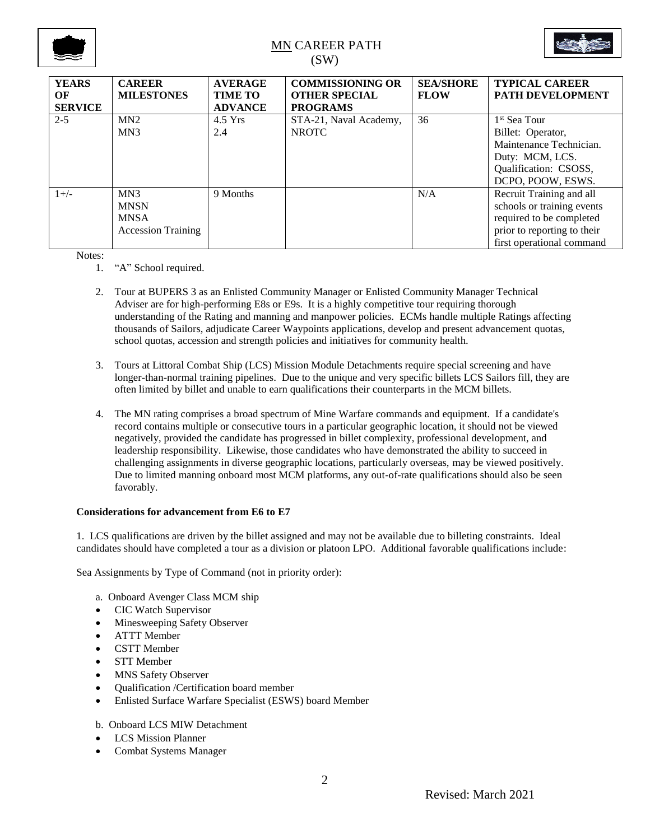



| <b>YEARS</b><br>OF<br><b>SERVICE</b> | <b>CAREER</b><br><b>MILESTONES</b>                                         | <b>AVERAGE</b><br><b>TIME TO</b><br><b>ADVANCE</b> | <b>COMMISSIONING OR</b><br><b>OTHER SPECIAL</b><br><b>PROGRAMS</b> | <b>SEA/SHORE</b><br><b>FLOW</b> | <b>TYPICAL CAREER</b><br><b>PATH DEVELOPMENT</b>                                                                                               |
|--------------------------------------|----------------------------------------------------------------------------|----------------------------------------------------|--------------------------------------------------------------------|---------------------------------|------------------------------------------------------------------------------------------------------------------------------------------------|
| $2 - 5$                              | MN2<br>M <sub>N</sub> 3                                                    | $4.5$ Yrs<br>2.4                                   | STA-21, Naval Academy,<br><b>NROTC</b>                             | 36                              | 1 <sup>st</sup> Sea Tour<br>Billet: Operator,<br>Maintenance Technician.<br>Duty: MCM, LCS.<br>Qualification: CSOSS,<br>DCPO, POOW, ESWS.      |
| $1+/-$                               | MN <sub>3</sub><br><b>MNSN</b><br><b>MNSA</b><br><b>Accession Training</b> | 9 Months                                           |                                                                    | N/A                             | Recruit Training and all<br>schools or training events<br>required to be completed<br>prior to reporting to their<br>first operational command |

Notes:

- 1. "A" School required.
- 2. Tour at BUPERS 3 as an Enlisted Community Manager or Enlisted Community Manager Technical Adviser are for high-performing E8s or E9s. It is a highly competitive tour requiring thorough understanding of the Rating and manning and manpower policies. ECMs handle multiple Ratings affecting thousands of Sailors, adjudicate Career Waypoints applications, develop and present advancement quotas, school quotas, accession and strength policies and initiatives for community health.
- 3. Tours at Littoral Combat Ship (LCS) Mission Module Detachments require special screening and have longer-than-normal training pipelines. Due to the unique and very specific billets LCS Sailors fill, they are often limited by billet and unable to earn qualifications their counterparts in the MCM billets.
- 4. The MN rating comprises a broad spectrum of Mine Warfare commands and equipment. If a candidate's record contains multiple or consecutive tours in a particular geographic location, it should not be viewed negatively, provided the candidate has progressed in billet complexity, professional development, and leadership responsibility. Likewise, those candidates who have demonstrated the ability to succeed in challenging assignments in diverse geographic locations, particularly overseas, may be viewed positively. Due to limited manning onboard most MCM platforms, any out-of-rate qualifications should also be seen favorably.

### **Considerations for advancement from E6 to E7**

1. LCS qualifications are driven by the billet assigned and may not be available due to billeting constraints. Ideal candidates should have completed a tour as a division or platoon LPO. Additional favorable qualifications include:

Sea Assignments by Type of Command (not in priority order):

- a. Onboard Avenger Class MCM ship
- CIC Watch Supervisor
- Minesweeping Safety Observer
- ATTT Member
- CSTT Member
- STT Member
- MNS Safety Observer
- Qualification /Certification board member
- Enlisted Surface Warfare Specialist (ESWS) board Member
- b. Onboard LCS MIW Detachment
- LCS Mission Planner
- Combat Systems Manager

2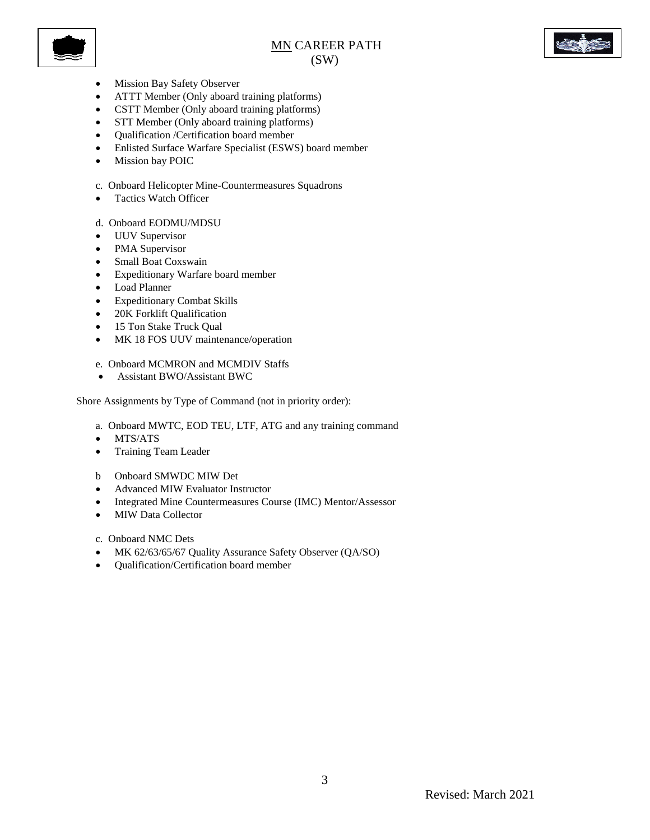



- Mission Bay Safety Observer
- ATTT Member (Only aboard training platforms)
- CSTT Member (Only aboard training platforms)
- STT Member (Only aboard training platforms)
- Qualification /Certification board member
- Enlisted Surface Warfare Specialist (ESWS) board member
- $\bullet$  Mission bay POIC
- c. Onboard Helicopter Mine-Countermeasures Squadrons
- Tactics Watch Officer
- d. Onboard EODMU/MDSU
- UUV Supervisor
- PMA Supervisor
- Small Boat Coxswain
- Expeditionary Warfare board member
- Load Planner
- Expeditionary Combat Skills
- 20K Forklift Qualification
- 15 Ton Stake Truck Qual
- MK 18 FOS UUV maintenance/operation
- e. Onboard MCMRON and MCMDIV Staffs
- Assistant BWO/Assistant BWC

Shore Assignments by Type of Command (not in priority order):

- a. Onboard MWTC, EOD TEU, LTF, ATG and any training command
- MTS/ATS
- Training Team Leader
- b Onboard SMWDC MIW Det
- Advanced MIW Evaluator Instructor
- Integrated Mine Countermeasures Course (IMC) Mentor/Assessor
- MIW Data Collector

c. Onboard NMC Dets

- MK 62/63/65/67 Quality Assurance Safety Observer (QA/SO)
- Qualification/Certification board member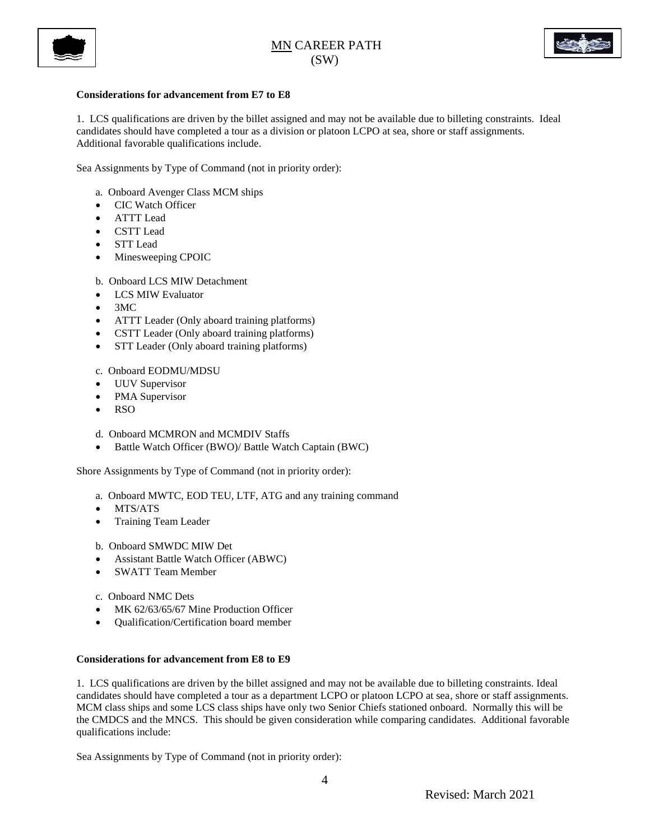



### **Considerations for advancement from E7 to E8**

1. LCS qualifications are driven by the billet assigned and may not be available due to billeting constraints. Ideal candidates should have completed a tour as a division or platoon LCPO at sea, shore or staff assignments. Additional favorable qualifications include.

Sea Assignments by Type of Command (not in priority order):

- a. Onboard Avenger Class MCM ships
- CIC Watch Officer
- ATTT Lead
- CSTT Lead
- STT Lead
- Minesweeping CPOIC

b. Onboard LCS MIW Detachment

- LCS MIW Evaluator
- $\bullet$  3MC
- ATTT Leader (Only aboard training platforms)
- CSTT Leader (Only aboard training platforms)
- STT Leader (Only aboard training platforms)

c. Onboard EODMU/MDSU

- UUV Supervisor
- PMA Supervisor
- $\bullet$  RSO
- d. Onboard MCMRON and MCMDIV Staffs
- Battle Watch Officer (BWO)/ Battle Watch Captain (BWC)

Shore Assignments by Type of Command (not in priority order):

- a. Onboard MWTC, EOD TEU, LTF, ATG and any training command
- MTS/ATS
- Training Team Leader
- b. Onboard SMWDC MIW Det
- Assistant Battle Watch Officer (ABWC)
- SWATT Team Member
- c. Onboard NMC Dets
- MK 62/63/65/67 Mine Production Officer
- Qualification/Certification board member

### **Considerations for advancement from E8 to E9**

1. LCS qualifications are driven by the billet assigned and may not be available due to billeting constraints. Ideal candidates should have completed a tour as a department LCPO or platoon LCPO at sea, shore or staff assignments. MCM class ships and some LCS class ships have only two Senior Chiefs stationed onboard. Normally this will be the CMDCS and the MNCS. This should be given consideration while comparing candidates. Additional favorable qualifications include:

Sea Assignments by Type of Command (not in priority order):